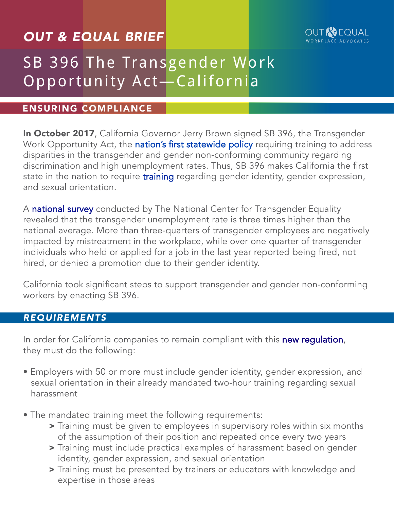## *OUT & EQUAL BRIEF*



# SB 396 The Transgender Work Opportunity Act—California

#### ENSURING COMPLIANCE

In October 2017, California Governor Jerry Brown signed SB 396, the Transgender Work Opportunity Act, the [nation's first statewide policy](http://sd33.senate.ca.gov/news/2017-10-15-governor-brown-signs-nations-first-transgender-rights-training-businesses-boost) requiring training to address disparities in the transgender and gender non-conforming community regarding discrimination and high unemployment rates. Thus, SB 396 makes California the first state in the nation to require [training](http://sd33.senate.ca.gov/news/2017-10-15-governor-brown-signs-nations-first-transgender-rights-training-businesses-boost) regarding gender identity, gender expression, and sexual orientation.

A [national survey](http://www.transequality.org/sites/default/files/docs/usts/USTS%20Full%20Report%20-%20FINAL%201.6.17.pdf) conducted by The National Center for Transgender Equality revealed that the transgender unemployment rate is three times higher than the national average. More than three-quarters of transgender employees are negatively impacted by mistreatment in the workplace, while over one quarter of transgender individuals who held or applied for a job in the last year reported being fired, not hired, or denied a promotion due to their gender identity.

California took significant steps to support transgender and gender non-conforming workers by enacting SB 396.

#### *REQUIREMENTS*

In order for California companies to remain compliant with this [new regulation](https://leginfo.legislature.ca.gov/faces/billTextClient.xhtml?bill_id=201720180SB396), they must do the following:

- Employers with 50 or more must include gender identity, gender expression, and sexual orientation in their already mandated two-hour training regarding sexual harassment
- The mandated training meet the following requirements:
	- > Training must be given to employees in supervisory roles within six months of the assumption of their position and repeated once every two years
	- > Training must include practical examples of harassment based on gender identity, gender expression, and sexual orientation
	- > Training must be presented by trainers or educators with knowledge and expertise in those areas